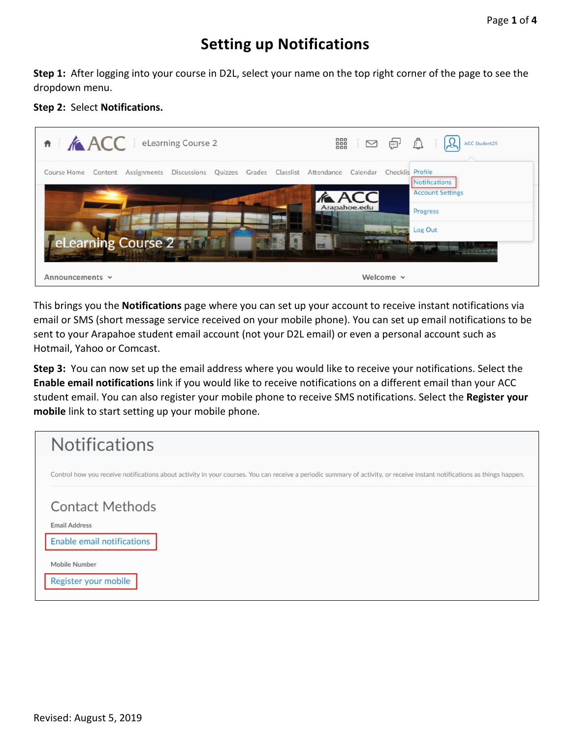## **Setting up Notifications**

**Step 1:** After logging into your course in D2L, select your name on the top right corner of the page to see the dropdown menu.

## **Step 2:** Select **Notifications.**



This brings you the **Notifications** page where you can set up your account to receive instant notifications via email or SMS (short message service received on your mobile phone). You can set up email notifications to be sent to your Arapahoe student email account (not your D2L email) or even a personal account such as Hotmail, Yahoo or Comcast.

**Step 3:** You can now set up the email address where you would like to receive your notifications. Select the **Enable email notifications** link if you would like to receive notifications on a different email than your ACC student email. You can also register your mobile phone to receive SMS notifications. Select the **Register your mobile** link to start setting up your mobile phone.

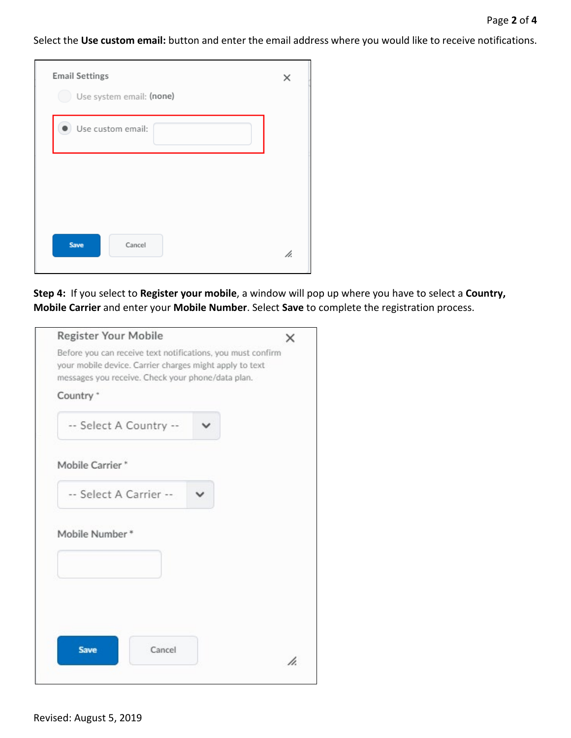Select the **Use custom email:** button and enter the email address where you would like to receive notifications.

| <b>Email Settings</b>    | ×  |
|--------------------------|----|
| Use system email: (none) |    |
| Use custom email:        |    |
|                          |    |
|                          |    |
| Save<br>Cancel           | ħ. |

**Step 4:** If you select to **Register your mobile**, a window will pop up where you have to select a **Country, Mobile Carrier** and enter your **Mobile Number**. Select **Save** to complete the registration process.

| Country <sup>+</sup>   |  |  |
|------------------------|--|--|
| -- Select A Country -- |  |  |
| Mobile Carrier*        |  |  |
| -- Select A Carrier -- |  |  |
| Mobile Number*         |  |  |
|                        |  |  |
|                        |  |  |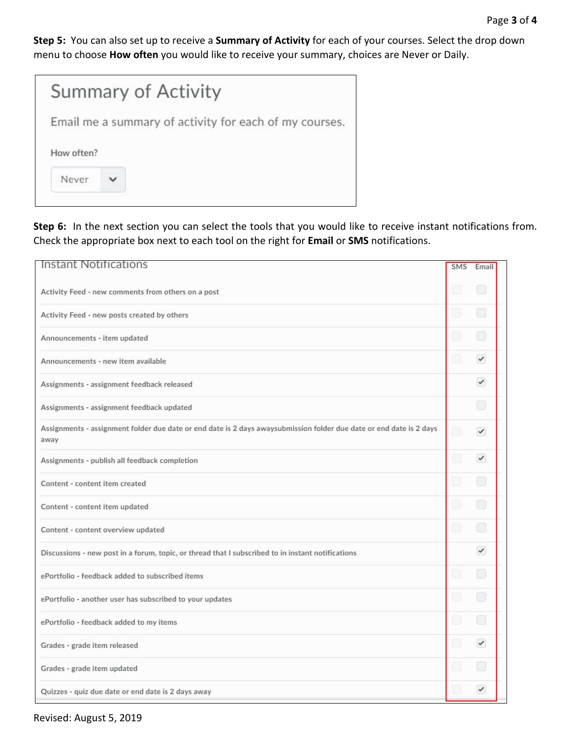**Step 5:** You can also set up to receive a **Summary of Activity** for each of your courses. Select the drop down menu to choose **How often** you would like to receive your summary, choices are Never or Daily.

|       |                                                        | <b>Summary of Activity</b> |  |  |  |  |  |
|-------|--------------------------------------------------------|----------------------------|--|--|--|--|--|
|       | Email me a summary of activity for each of my courses. |                            |  |  |  |  |  |
|       | How often?                                             |                            |  |  |  |  |  |
| Never |                                                        |                            |  |  |  |  |  |
|       |                                                        |                            |  |  |  |  |  |

**Step 6:** In the next section you can select the tools that you would like to receive instant notifications from. Check the appropriate box next to each tool on the right for **Email** or **SMS** notifications.

| <b>Instant Notifications</b>                                                                                                | <b>SMS</b> | Email        |
|-----------------------------------------------------------------------------------------------------------------------------|------------|--------------|
| Activity Feed - new comments from others on a post                                                                          |            | □            |
| Activity Feed - new posts created by others                                                                                 | D          | O            |
| Announcements - item updated                                                                                                | 0          | 0            |
| Announcements - new item available                                                                                          | O          | $\checkmark$ |
| Assignments - assignment feedback released                                                                                  |            | $\checkmark$ |
| Assignments - assignment feedback updated                                                                                   |            | □            |
| Assignments - assignment folder due date or end date is 2 days awaysubmission folder due date or end date is 2 days<br>away | O          | $\checkmark$ |
| Assignments - publish all feedback completion                                                                               |            | $\checkmark$ |
| Content - content item created                                                                                              | $\Box$     | □            |
| Content - content item updated                                                                                              | 0          | 0            |
| Content - content overview updated                                                                                          | 0          | O            |
| Discussions - new post in a forum, topic, or thread that I subscribed to in instant notifications                           |            | $\checkmark$ |
| ePortfolio - feedback added to subscribed items                                                                             | 0          | ం            |
| ePortfolio - another user has subscribed to your updates                                                                    |            | 0            |
| ePortfolio - feedback added to my items                                                                                     |            | O            |
| Grades - grade item released                                                                                                |            | $\checkmark$ |
| Grades - grade item updated                                                                                                 | 0          | 0            |
| Quizzes - quiz due date or end date is 2 days away                                                                          |            | $\checkmark$ |

## Revised: August 5, 2019